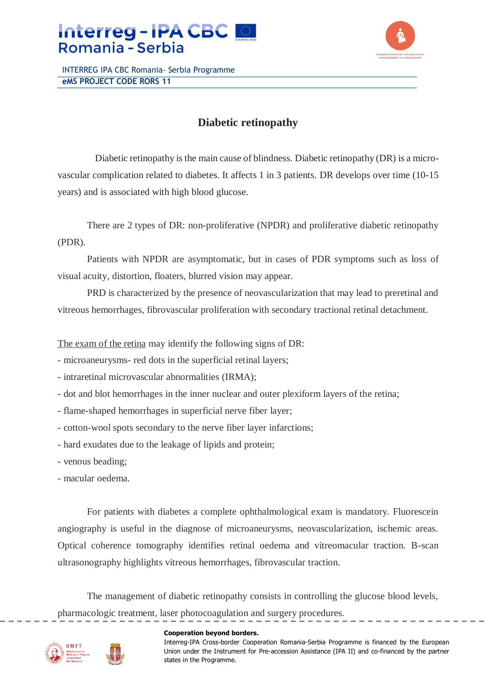



INTERREG IPA CBC Romania- Serbia Programme **eMS PROJECT CODE RORS 11**

## **Diabetic retinopathy**

Diabetic retinopathy is the main cause of blindness. Diabetic retinopathy (DR) is a microvascular complication related to diabetes. It affects 1 in 3 patients. DR develops over time (10-15 years) and is associated with high blood glucose.

There are 2 types of DR: non-proliferative (NPDR) and proliferative diabetic retinopathy (PDR).

Patients with NPDR are asymptomatic, but in cases of PDR symptoms such as loss of visual acuity, distortion, floaters, blurred vision may appear.

PRD is characterized by the presence of neovascularization that may lead to preretinal and vitreous hemorrhages, fibrovascular proliferation with secondary tractional retinal detachment.

The exam of the retina may identify the following signs of DR:

- microaneurysms- red dots in the superficial retinal layers;
- intraretinal microvascular abnormalities (IRMA);
- dot and blot hemorrhages in the inner nuclear and outer plexiform layers of the retina;
- flame-shaped hemorrhages in superficial nerve fiber layer;
- cotton-wool spots secondary to the nerve fiber layer infarctions;
- hard exudates due to the leakage of lipids and protein;
- venous beading;
- macular oedema.

For patients with diabetes a complete ophthalmological exam is mandatory. Fluorescein angiography is useful in the diagnose of microaneurysms, neovascularization, ischemic areas. Optical coherence tomography identifies retinal oedema and vitreomacular traction. B-scan ultrasonography highlights vitreous hemorrhages, fibrovascular traction.

The management of diabetic retinopathy consists in controlling the glucose blood levels, pharmacologic treatment, laser photocoagulation and surgery procedures.

## **Cooperation beyond borders.**

Interreg-IPA Cross-border Cooperation Romania-Serbia Programme is financed by the European Union under the Instrument for Pre-accession Assistance (IPA II) and co-financed by the partner states in the Programme.